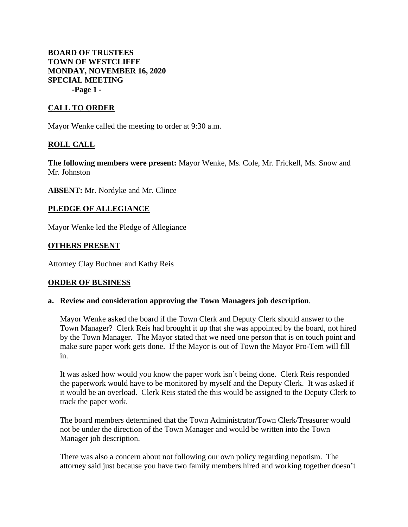**BOARD OF TRUSTEES TOWN OF WESTCLIFFE MONDAY, NOVEMBER 16, 2020 SPECIAL MEETING -Page 1 -**

## **CALL TO ORDER**

Mayor Wenke called the meeting to order at 9:30 a.m.

## **ROLL CALL**

**The following members were present:** Mayor Wenke, Ms. Cole, Mr. Frickell, Ms. Snow and Mr. Johnston

**ABSENT:** Mr. Nordyke and Mr. Clince

### **PLEDGE OF ALLEGIANCE**

Mayor Wenke led the Pledge of Allegiance

#### **OTHERS PRESENT**

Attorney Clay Buchner and Kathy Reis

### **ORDER OF BUSINESS**

#### **a. Review and consideration approving the Town Managers job description**.

Mayor Wenke asked the board if the Town Clerk and Deputy Clerk should answer to the Town Manager? Clerk Reis had brought it up that she was appointed by the board, not hired by the Town Manager. The Mayor stated that we need one person that is on touch point and make sure paper work gets done. If the Mayor is out of Town the Mayor Pro-Tem will fill in.

It was asked how would you know the paper work isn't being done. Clerk Reis responded the paperwork would have to be monitored by myself and the Deputy Clerk. It was asked if it would be an overload. Clerk Reis stated the this would be assigned to the Deputy Clerk to track the paper work.

The board members determined that the Town Administrator/Town Clerk/Treasurer would not be under the direction of the Town Manager and would be written into the Town Manager job description.

There was also a concern about not following our own policy regarding nepotism. The attorney said just because you have two family members hired and working together doesn't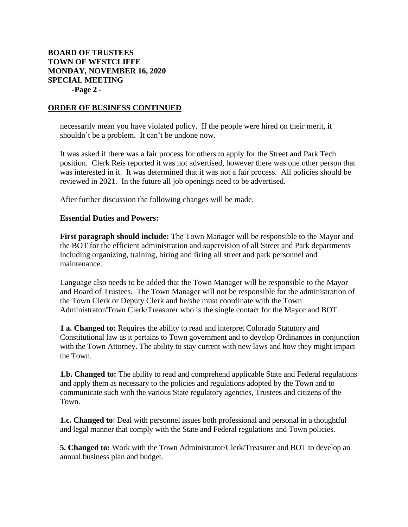# **BOARD OF TRUSTEES TOWN OF WESTCLIFFE MONDAY, NOVEMBER 16, 2020 SPECIAL MEETING -Page 2 -**

### **ORDER OF BUSINESS CONTINUED**

necessarily mean you have violated policy. If the people were hired on their merit, it shouldn't be a problem. It can't be undone now.

It was asked if there was a fair process for others to apply for the Street and Park Tech position. Clerk Reis reported it was not advertised, however there was one other person that was interested in it. It was determined that it was not a fair process. All policies should be reviewed in 2021. In the future all job openings need to be advertised.

After further discussion the following changes will be made.

#### **Essential Duties and Powers:**

**First paragraph should include:** The Town Manager will be responsible to the Mayor and the BOT for the efficient administration and supervision of all Street and Park departments including organizing, training, hiring and firing all street and park personnel and maintenance.

Language also needs to be added that the Town Manager will be responsible to the Mayor and Board of Trustees. The Town Manager will not be responsible for the administration of the Town Clerk or Deputy Clerk and he/she must coordinate with the Town Administrator/Town Clerk/Treasurer who is the single contact for the Mayor and BOT.

**1 a. Changed to:** Requires the ability to read and interpret Colorado Statutory and Constitutional law as it pertains to Town government and to develop Ordinances in conjunction with the Town Attorney. The ability to stay current with new laws and how they might impact the Town.

**1.b. Changed to:** The ability to read and comprehend applicable State and Federal regulations and apply them as necessary to the policies and regulations adopted by the Town and to communicate such with the various State regulatory agencies, Trustees and citizens of the Town.

**1.c. Changed to**: Deal with personnel issues both professional and personal in a thoughtful and legal manner that comply with the State and Federal regulations and Town policies.

**5. Changed to:** Work with the Town Administrator/Clerk/Treasurer and BOT to develop an annual business plan and budget.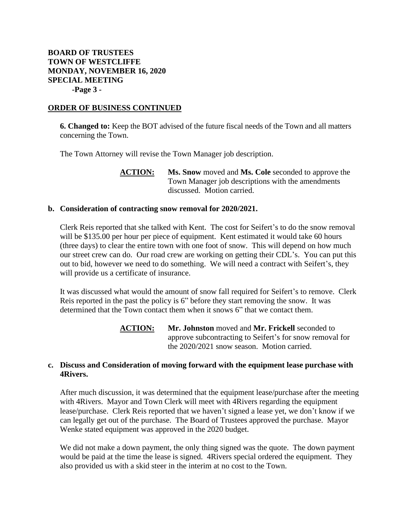# **BOARD OF TRUSTEES TOWN OF WESTCLIFFE MONDAY, NOVEMBER 16, 2020 SPECIAL MEETING -Page 3 -**

### **ORDER OF BUSINESS CONTINUED**

**6. Changed to:** Keep the BOT advised of the future fiscal needs of the Town and all matters concerning the Town.

The Town Attorney will revise the Town Manager job description.

**ACTION: Ms. Snow** moved and **Ms. Cole** seconded to approve the Town Manager job descriptions with the amendments discussed. Motion carried.

### **b. Consideration of contracting snow removal for 2020/2021.**

Clerk Reis reported that she talked with Kent. The cost for Seifert's to do the snow removal will be \$135.00 per hour per piece of equipment. Kent estimated it would take 60 hours (three days) to clear the entire town with one foot of snow. This will depend on how much our street crew can do. Our road crew are working on getting their CDL's. You can put this out to bid, however we need to do something. We will need a contract with Seifert's, they will provide us a certificate of insurance.

It was discussed what would the amount of snow fall required for Seifert's to remove. Clerk Reis reported in the past the policy is 6" before they start removing the snow. It was determined that the Town contact them when it snows 6" that we contact them.

> **ACTION: Mr. Johnston** moved and **Mr. Frickell** seconded to approve subcontracting to Seifert's for snow removal for the 2020/2021 snow season. Motion carried.

### **c. Discuss and Consideration of moving forward with the equipment lease purchase with 4Rivers.**

After much discussion, it was determined that the equipment lease/purchase after the meeting with 4Rivers. Mayor and Town Clerk will meet with 4Rivers regarding the equipment lease/purchase. Clerk Reis reported that we haven't signed a lease yet, we don't know if we can legally get out of the purchase. The Board of Trustees approved the purchase. Mayor Wenke stated equipment was approved in the 2020 budget.

We did not make a down payment, the only thing signed was the quote. The down payment would be paid at the time the lease is signed. 4Rivers special ordered the equipment. They also provided us with a skid steer in the interim at no cost to the Town.